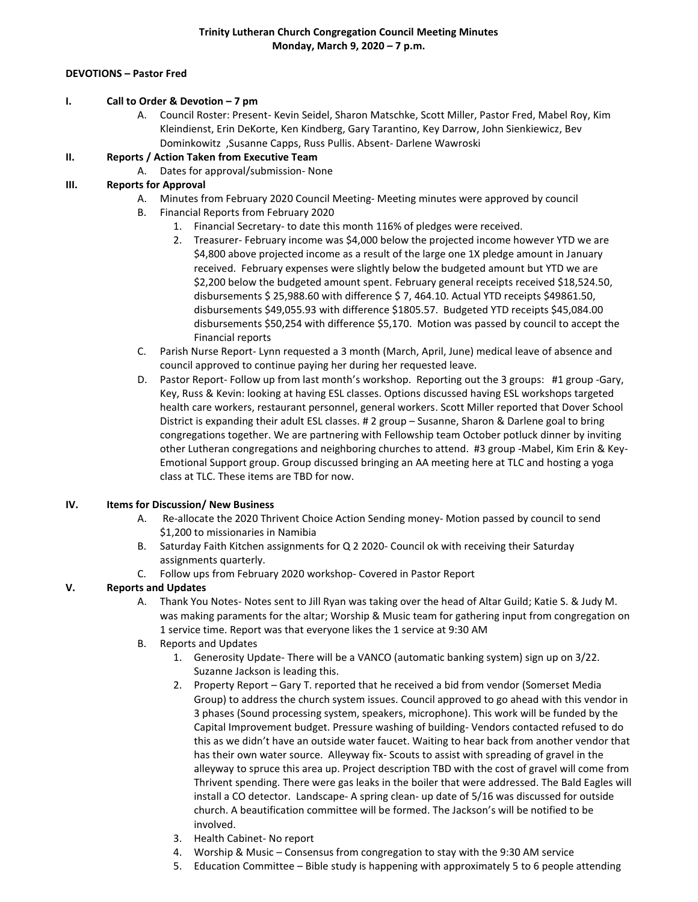### **DEVOTIONS – Pastor Fred**

#### **I. Call to Order & Devotion – 7 pm**

A. Council Roster: Present- Kevin Seidel, Sharon Matschke, Scott Miller, Pastor Fred, Mabel Roy, Kim Kleindienst, Erin DeKorte, Ken Kindberg, Gary Tarantino, Key Darrow, John Sienkiewicz, Bev Dominkowitz ,Susanne Capps, Russ Pullis. Absent- Darlene Wawroski

## **II. Reports / Action Taken from Executive Team**

A. Dates for approval/submission- None

## **III. Reports for Approval**

- A. Minutes from February 2020 Council Meeting- Meeting minutes were approved by council
- B. Financial Reports from February 2020
	- 1. Financial Secretary- to date this month 116% of pledges were received.
	- 2. Treasurer- February income was \$4,000 below the projected income however YTD we are \$4,800 above projected income as a result of the large one 1X pledge amount in January received. February expenses were slightly below the budgeted amount but YTD we are \$2,200 below the budgeted amount spent. February general receipts received \$18,524.50, disbursements \$ 25,988.60 with difference \$ 7, 464.10. Actual YTD receipts \$49861.50, disbursements \$49,055.93 with difference \$1805.57. Budgeted YTD receipts \$45,084.00 disbursements \$50,254 with difference \$5,170. Motion was passed by council to accept the Financial reports
- C. Parish Nurse Report- Lynn requested a 3 month (March, April, June) medical leave of absence and council approved to continue paying her during her requested leave.
- D. Pastor Report- Follow up from last month's workshop. Reporting out the 3 groups: #1 group -Gary, Key, Russ & Kevin: looking at having ESL classes. Options discussed having ESL workshops targeted health care workers, restaurant personnel, general workers. Scott Miller reported that Dover School District is expanding their adult ESL classes. # 2 group – Susanne, Sharon & Darlene goal to bring congregations together. We are partnering with Fellowship team October potluck dinner by inviting other Lutheran congregations and neighboring churches to attend. #3 group -Mabel, Kim Erin & Key-Emotional Support group. Group discussed bringing an AA meeting here at TLC and hosting a yoga class at TLC. These items are TBD for now.

### **IV. Items for Discussion/ New Business**

- A. Re-allocate the 2020 Thrivent Choice Action Sending money- Motion passed by council to send \$1,200 to missionaries in Namibia
- B. Saturday Faith Kitchen assignments for Q 2 2020- Council ok with receiving their Saturday assignments quarterly.
- C. Follow ups from February 2020 workshop- Covered in Pastor Report

# **V. Reports and Updates**

- A. Thank You Notes- Notes sent to Jill Ryan was taking over the head of Altar Guild; Katie S. & Judy M. was making paraments for the altar; Worship & Music team for gathering input from congregation on 1 service time. Report was that everyone likes the 1 service at 9:30 AM
- B. Reports and Updates
	- 1. Generosity Update- There will be a VANCO (automatic banking system) sign up on 3/22. Suzanne Jackson is leading this.
	- 2. Property Report Gary T. reported that he received a bid from vendor (Somerset Media Group) to address the church system issues. Council approved to go ahead with this vendor in 3 phases (Sound processing system, speakers, microphone). This work will be funded by the Capital Improvement budget. Pressure washing of building- Vendors contacted refused to do this as we didn't have an outside water faucet. Waiting to hear back from another vendor that has their own water source. Alleyway fix- Scouts to assist with spreading of gravel in the alleyway to spruce this area up. Project description TBD with the cost of gravel will come from Thrivent spending. There were gas leaks in the boiler that were addressed. The Bald Eagles will install a CO detector. Landscape- A spring clean- up date of 5/16 was discussed for outside church. A beautification committee will be formed. The Jackson's will be notified to be involved.
	- 3. Health Cabinet- No report
	- 4. Worship & Music Consensus from congregation to stay with the 9:30 AM service
	- 5. Education Committee Bible study is happening with approximately 5 to 6 people attending